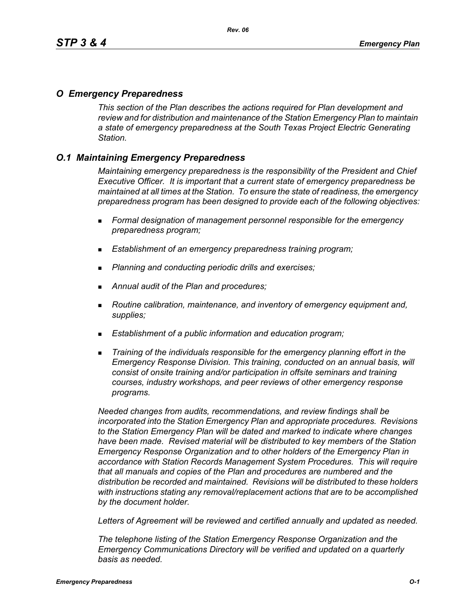## *O Emergency Preparedness*

*This section of the Plan describes the actions required for Plan development and review and for distribution and maintenance of the Station Emergency Plan to maintain a state of emergency preparedness at the South Texas Project Electric Generating Station.*

## *O.1 Maintaining Emergency Preparedness*

*Maintaining emergency preparedness is the responsibility of the President and Chief Executive Officer. It is important that a current state of emergency preparedness be maintained at all times at the Station. To ensure the state of readiness, the emergency preparedness program has been designed to provide each of the following objectives:*

- *Formal designation of management personnel responsible for the emergency preparedness program;*
- *Establishment of an emergency preparedness training program;*
- *Planning and conducting periodic drills and exercises;*
- *Annual audit of the Plan and procedures;*
- *Routine calibration, maintenance, and inventory of emergency equipment and, supplies;*
- *Establishment of a public information and education program;*
- *Training of the individuals responsible for the emergency planning effort in the Emergency Response Division. This training, conducted on an annual basis, will consist of onsite training and/or participation in offsite seminars and training courses, industry workshops, and peer reviews of other emergency response programs.*

*Needed changes from audits, recommendations, and review findings shall be incorporated into the Station Emergency Plan and appropriate procedures. Revisions to the Station Emergency Plan will be dated and marked to indicate where changes have been made. Revised material will be distributed to key members of the Station Emergency Response Organization and to other holders of the Emergency Plan in accordance with Station Records Management System Procedures. This will require that all manuals and copies of the Plan and procedures are numbered and the distribution be recorded and maintained. Revisions will be distributed to these holders with instructions stating any removal/replacement actions that are to be accomplished by the document holder.*

*Letters of Agreement will be reviewed and certified annually and updated as needed.*

*The telephone listing of the Station Emergency Response Organization and the Emergency Communications Directory will be verified and updated on a quarterly basis as needed.*